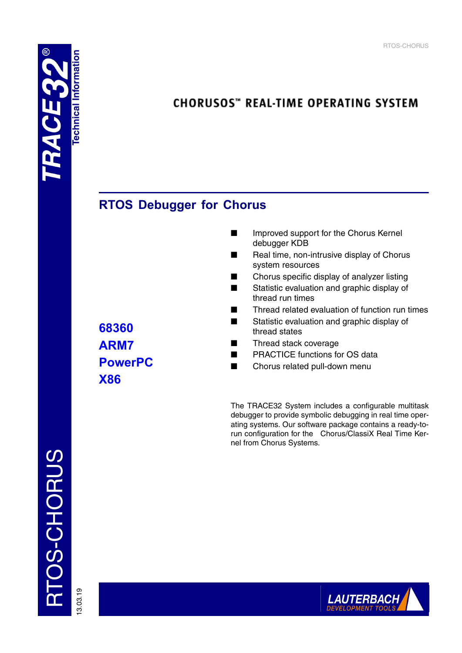# **CHORUSOS**" REAL-TIME OPERATING SYSTEM

# **RTOS Debugger for Chorus**

- Improved support for the Chorus Kernel debugger KDB
- Real time, non-intrusive display of Chorus system resources
- Chorus specific display of analyzer listing
- Statistic evaluation and graphic display of thread run times
- Thread related evaluation of function run times
- Statistic evaluation and graphic display of thread states
- Thread stack coverage
- PRACTICE functions for OS data
- Chorus related pull-down menu

The TRACE32 System includes a configurable multitask debugger to provide symbolic debugging in real time operating systems. Our software package contains a ready-torun configuration for the Chorus/ClassiX Real Time Kernel from Chorus Systems.

RTOS-CHORUS RTOS-CHORUS

13.03.19

**68360 ARM7 PowerPC X86**

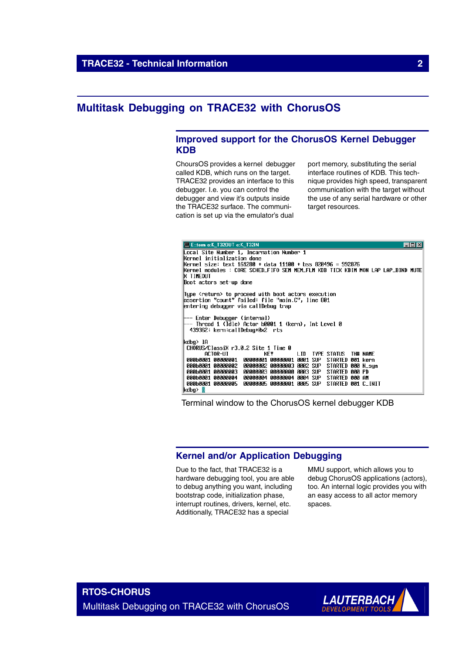## **Multitask Debugging on TRACE32 with ChorusOS**

## **Improved support for the ChorusOS Kernel Debugger KDB**

ChoursOS provides a kernel debugger called KDB, which runs on the target. TRACE32 provides an interface to this debugger. I.e. you can control the debugger and view it's outputs inside the TRACE32 surface. The communication is set up via the emulator's dual

port memory, substituting the serial interface routines of KDB. This technique provides high speed, transparent communication with the target without the use of any serial hardware or other target resources.

| E::term e:K T320UT e:K T32IN<br>$ $ - $ $ $\Box$ $ $ $\times$                       |  |  |  |  |  |  |  |  |  |
|-------------------------------------------------------------------------------------|--|--|--|--|--|--|--|--|--|
| Local Site Number 1, Incarnation Number 1                                           |  |  |  |  |  |  |  |  |  |
| Kernel initialization done                                                          |  |  |  |  |  |  |  |  |  |
| Kernel size: text 161280 + data 11100 + bss 820496 = 992876                         |  |  |  |  |  |  |  |  |  |
| Kernel modules : CORE SCHED_FIFO SEM MEM_FLM KDB TICK KBIM MON LAP LAP_BIND MUTE    |  |  |  |  |  |  |  |  |  |
| <b>K TIMEOUT</b><br>Boot actors set-up done                                         |  |  |  |  |  |  |  |  |  |
|                                                                                     |  |  |  |  |  |  |  |  |  |
| Tupe ≺return> to proceed with boot actors execution                                 |  |  |  |  |  |  |  |  |  |
| lassertion "count" failed: file "main.C", line 801                                  |  |  |  |  |  |  |  |  |  |
| entering debugger via callDebug trap                                                |  |  |  |  |  |  |  |  |  |
|                                                                                     |  |  |  |  |  |  |  |  |  |
| Enter Debugger (internal)                                                           |  |  |  |  |  |  |  |  |  |
| Thread 1 (Idle) Actor b0001 1 (kern), Int Level 0<br>439362: kern:callDebug+0x2 rts |  |  |  |  |  |  |  |  |  |
|                                                                                     |  |  |  |  |  |  |  |  |  |
| kdba> 1A                                                                            |  |  |  |  |  |  |  |  |  |
| CHORUS/ClassiX r3.0.2 Site 1 Time 0                                                 |  |  |  |  |  |  |  |  |  |
| ACTOR-UI<br>KEY<br>LID TYPE STATUS<br>TH# NAME                                      |  |  |  |  |  |  |  |  |  |
| 000b0001 00000001<br>00000001 00000001 0001 SUP STARTED 001 kern                    |  |  |  |  |  |  |  |  |  |
| 000b0001 00000002<br>00000002 00000003 0002 SUP STARTED 000 N_sum                   |  |  |  |  |  |  |  |  |  |
| <b>АААЬААА1 АААААААЗ</b><br>00000003 00000000 0003 SUP STARTED 000 PD               |  |  |  |  |  |  |  |  |  |
| 000b0001 00000004<br>00000004 00000004 0004 SUP STARTED 000 AM                      |  |  |  |  |  |  |  |  |  |
| 000b0001 00000005<br>00000005 00000001 0005 SUP STARTED 001 C_INIT<br>kdba> Ø       |  |  |  |  |  |  |  |  |  |

## Terminal window to the ChorusOS kernel debugger KDB

## **Kernel and/or Application Debugging**

Due to the fact, that TRACE32 is a hardware debugging tool, you are able to debug anything you want, including bootstrap code, initialization phase, interrupt routines, drivers, kernel, etc. Additionally, TRACE32 has a special

MMU support, which allows you to debug ChorusOS applications (actors), too. An internal logic provides you with an easy access to all actor memory spaces.

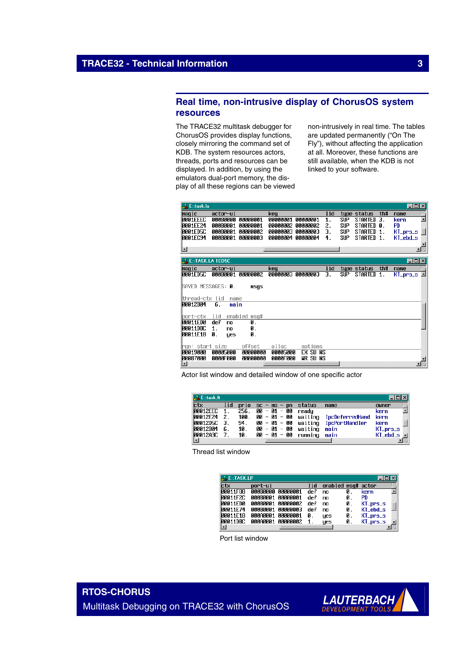## **Real time, non-intrusive display of ChorusOS system resources**

The TRACE32 multitask debugger for ChorusOS provides display functions, closely mirroring the command set of KDB. The system resources actors, threads, ports and resources can be displayed. In addition, by using the emulators dual-port memory, the display of all these regions can be viewed non-intrusively in real time. The tables are updated permanently ("On The Fly"), without affecting the application at all. Moreover, these functions are still available, when the KDB is not linked to your software.

| <b>A.</b> Entask.la        |          |              |                   |          |                   |      |            |             |     | $\Box$ o $\Box$                |
|----------------------------|----------|--------------|-------------------|----------|-------------------|------|------------|-------------|-----|--------------------------------|
| magic                      | actor-ui |              |                   | keu      |                   | l id |            | type status | th# | name                           |
| <b>0001EEEC</b>            |          |              | 000B0000 00000001 | 00000001 | 00000001          | 1.   | <b>SUP</b> | STARTED 3.  |     | $\blacktriangle$<br>kern       |
| 0001EE24                   | 000B0001 |              | 00000001          | 00000002 | 00000002          | 2.   | <b>SUP</b> | STARTED 0.  |     | <b>PD</b>                      |
| 0001ED5C                   | 000B0001 |              | 00000002          | 60000003 | 00000003          | З.   | <b>SUP</b> | STARTED     | 1.  | KT_prs_s                       |
| 0001EC94                   |          |              | AAABAAA1 AAAAAAA3 |          | 00000004 00000004 | 4.   | <b>SUP</b> | STARTED 1.  |     | KT_ebd_s                       |
|                            |          |              |                   |          |                   |      |            |             |     |                                |
| ▣                          |          |              |                   |          |                   |      |            |             |     | $\mathbf{F}$                   |
|                            |          |              |                   |          |                   |      |            |             |     |                                |
| <b>ALE: TASK.LA 1ED5C</b>  |          |              |                   |          |                   |      |            |             |     | $\Box$ olxi                    |
| maqic                      | actor-ui |              |                   | key      |                   | lid  |            | tupe status | th# | name                           |
| 0001ED5C                   |          |              | 000B0001 00000002 | 00000003 | 00000003          | з.   | SUP        | STARTED 1.  |     | $\blacktriangle$<br>$KI_prs_s$ |
|                            |          |              |                   |          |                   |      |            |             |     |                                |
| SAVED MESSAGES: 0.         |          |              | msqs              |          |                   |      |            |             |     |                                |
|                            |          |              |                   |          |                   |      |            |             |     |                                |
| thread−ctx lid<br>00012B04 | 6.       | name<br>main |                   |          |                   |      |            |             |     |                                |
|                            |          |              |                   |          |                   |      |            |             |     |                                |
| port–ctx                   | lid      |              | enabled msg#      |          |                   |      |            |             |     |                                |
| 00011ED0                   | def      | no           | 0.                |          |                   |      |            |             |     |                                |
| 00011DBC                   | 1.       | no           | Ø.                |          |                   |      |            |             |     |                                |
| 00011E18                   | 0.       | ues          | Ø.                |          |                   |      |            |             |     |                                |
|                            |          |              |                   |          |                   |      |            |             |     |                                |
| rqn∶ start size            |          |              | offset            | alloc    | options           |      |            |             |     |                                |
| 00019000                   | 00005000 |              | 00000000          | 00005000 | EX SU NS          |      |            |             |     |                                |
| 00087000                   | 0000F000 |              | 00000000          | 0000F000 | <b>UR SUNS</b>    |      |            |             |     |                                |
| $\blacksquare$             |          |              |                   |          |                   |      |            |             |     |                                |

Actor list window and detailed window of one specific actor

| <b>A.</b> Entask.lt |       |      |             |                |         |                        |                        |
|---------------------|-------|------|-------------|----------------|---------|------------------------|------------------------|
| ctx                 | 1 i d | prio | $SC =$      | ms<br>n        | status  | name                   | owner                  |
| <b>MANASEEC</b>     |       | 256. | 00 — 01 —   | 00             | readu   |                        | kern                   |
| <b>00012E24</b>     | 2.    | 100. |             | 00 - 01 - 00   | waiting | <b>IpcDeferredHand</b> | kern                   |
| <b>00012D5C</b>     | З.    | 94.  |             | $00 - 01 - 00$ | waiting | <b>IpcPortHandler</b>  | kern                   |
| <b>00012B04</b>     | 6.    | 10.  |             | 00 - 01 - 00   | waiting | main                   | $Klprs-s$              |
| <b>D0012A3C</b>     |       | 10.  | $00 - 01 -$ | 00             | runnina | main                   | $KI$ <sub>_ebd_s</sub> |
|                     |       |      |             |                |         |                        |                        |

Thread list window

| <b>ALE: TASK.LP</b> |                   |     |                    |    |                     |  |
|---------------------|-------------------|-----|--------------------|----|---------------------|--|
| <b>ctx</b>          | port-ui           | lid | enabled msq# actor |    |                     |  |
| <b>00011F88</b>     | aaaraaaa aaaaaaa1 | def | nn                 | Ø. | kern                |  |
| <b>00011F2C</b>     | AAABAAA1 AAAAAAA1 | def | no                 | Й. | PD                  |  |
| <b>00011ED0</b>     | aaaraaa1 aaaaaaa2 | def | no                 | Ø. | $Klprs-s$           |  |
| <b>ИЙИ11F74</b>     | RAARAAA1 AAAAAAA3 | def | nn                 | 0. | $KT_{ebd,s}$        |  |
| 00011E18            | AAAAAAA1 AAAAAAA1 | Й.  | ues                | Ø. | $KI_{\text{prs}_s}$ |  |
| <b>MAA11DRC</b>     | 00000001 00000002 |     | yes                | 0. | $KI_prs_s$          |  |
| $\blacksquare$      |                   |     |                    |    |                     |  |

Port list window

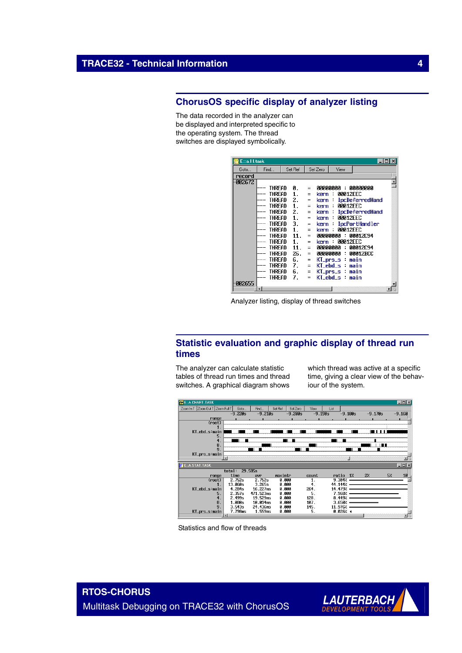## **ChorusOS specific display of analyzer listing**

The data recorded in the analyzer can be displayed and interpreted specific to the operating system. The thread switches are displayed symbolically.

| Etta.I Ltask |        |         |     |          |                 |                 |                        |  |  |
|--------------|--------|---------|-----|----------|-----------------|-----------------|------------------------|--|--|
| Goto         | Find   | Set Ref |     | Set Zero |                 | View            |                        |  |  |
| record       |        |         |     |          |                 |                 |                        |  |  |
| 002672       |        |         |     |          |                 |                 |                        |  |  |
|              | THRFAD | Й.      | $=$ |          |                 |                 | АААААААА : АААААААА    |  |  |
|              | THREAD | 1.      | $=$ | kern     | - :             | <b>AAA12EEC</b> |                        |  |  |
|              | THRFAD | 2.      | Ξ   | kern     |                 |                 | <b>IpcDeferredHand</b> |  |  |
|              | THREAD | 1.      | $=$ | kern     | ÷               | <b>AAA12EEC</b> |                        |  |  |
|              | THRFAD | 2.      | $=$ | kern     | ÷               |                 | <b>IpcDeferredHand</b> |  |  |
|              | THREAD | 1.      | $=$ | kern     | $\sim$          | <b>AAA12EEC</b> |                        |  |  |
|              | THREAD | 3.      | Ξ   | kern :   |                 |                 | <b>IpcPortHandler</b>  |  |  |
|              | THREAD | 1.      | $=$ | kern     | ÷               | <b>AAA12FFC</b> |                        |  |  |
|              | THREAD | 11.     | $=$ |          | <b>АААААААА</b> | ÷               | <b>ПЛЛ12Г.94</b>       |  |  |
|              | THREAD | 1.      | $=$ | kern     | . .             | <b>AAA12FFC</b> |                        |  |  |
|              | THREAD | 11.     | $=$ |          | 00000000        | ÷               | 00012C94               |  |  |
|              | THREAD | 26.     | $=$ |          | 00000000        | ÷               | 00012BCC               |  |  |
|              | THREAD | 6.      | $=$ |          | KT_prs_s main   |                 |                        |  |  |
|              | THREAD | 7.      | $=$ |          | KT_ebd_s main   |                 |                        |  |  |
|              | THREAD | 6.      | $=$ |          | KT_prs_s main   |                 |                        |  |  |
|              | THREAD | 7.      | Ξ   |          | KT_ebd_s:       |                 | main                   |  |  |
| 002655       |        |         |     |          |                 |                 |                        |  |  |
|              | ۰I     |         |     |          |                 |                 |                        |  |  |

Analyzer listing, display of thread switches

## **Statistic evaluation and graphic display of thread run times**

The analyzer can calculate statistic tables of thread run times and thread switches. A graphical diagram shows which thread was active at a specific time, giving a clear view of the behaviour of the system.



Statistics and flow of threads



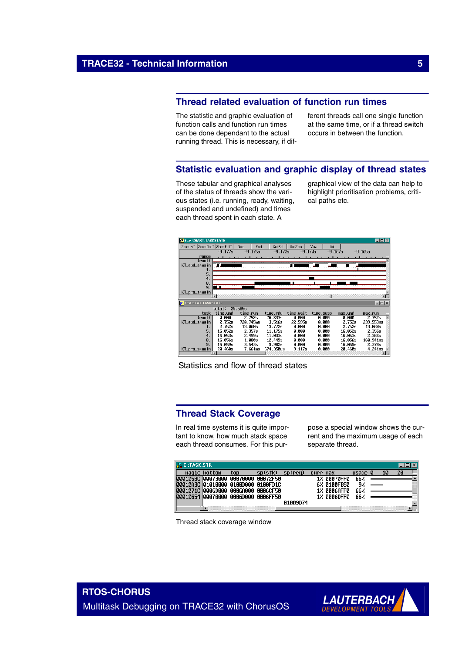## **Thread related evaluation of function run times**

The statistic and graphic evaluation of function calls and function run times can be done dependant to the actual running thread. This is necessary, if different threads call one single function at the same time, or if a thread switch occurs in between the function.

## **Statistic evaluation and graphic display of thread states**

These tabular and graphical analyses of the status of threads show the various states (i.e. running, ready, waiting, suspended and undefined) and times each thread spent in each state. A

graphical view of the data can help to highlight prioritisation problems, critical paths etc.



Statistics and flow of thread states

## **Thread Stack Coverage**

In real time systems it is quite important to know, how much stack space each thread consumes. For this purpose a special window shows the current and the maximum usage of each separate thread.

| <b>ALE: TASK.STK</b>                |              |     |         |          |          |             |         |    |    |  |
|-------------------------------------|--------------|-----|---------|----------|----------|-------------|---------|----|----|--|
|                                     | magic bottom | top | sp(stk) | sp(reg)  | curr max |             | usage 0 | 10 | 20 |  |
| 0001258C 00073000 00070000 00072F50 |              |     |         |          |          | 1% ААА7АFFА | 662     |    |    |  |
| 00012A3C 01010000 0100D000 0100FD1C |              |     |         |          |          | 6% 0100FB50 | 97      |    |    |  |
| 0001271C 0006D000 0006A000 0006CF50 |              |     |         |          |          | 1% АААБАЕЕА | 66%     |    |    |  |
| 00012654 00070000 0006D000 0006FF50 |              |     |         |          |          | 1% AAAGDEEA | 662     |    |    |  |
|                                     |              |     |         | 01009074 |          |             |         |    |    |  |
|                                     |              |     |         |          |          |             |         |    |    |  |

Thread stack coverage window



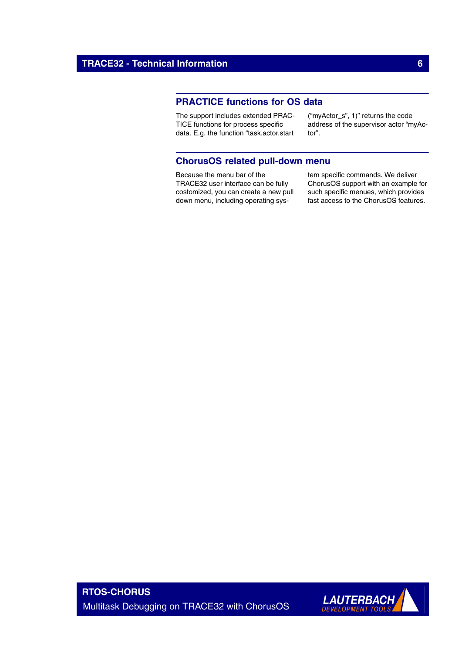## **PRACTICE functions for OS data**

The support includes extended PRAC-TICE functions for process specific data. E.g. the function "task.actor.start ("myActor\_s", 1)" returns the code address of the supervisor actor "myActor".

## **ChorusOS related pull-down menu**

Because the menu bar of the TRACE32 user interface can be fully costomized, you can create a new pull down menu, including operating system specific commands. We deliver ChorusOS support with an example for such specific menues, which provides fast access to the ChorusOS features.

**RTOS-CHORUS** Multitask Debugging on TRACE32 with ChorusOS

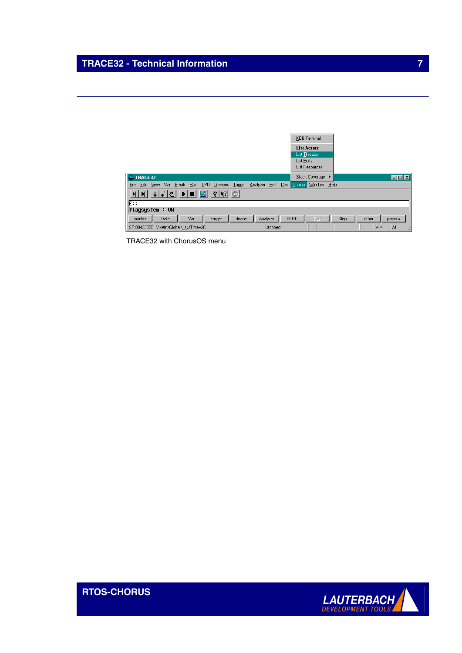## **TRACE32 - Technical Information 7** *TRACE32 - Technical Information*

|                                                                                                 | <b>KDB</b> Terminal         |                           |
|-------------------------------------------------------------------------------------------------|-----------------------------|---------------------------|
|                                                                                                 | <b>List Actors</b>          |                           |
|                                                                                                 | List Threads                |                           |
|                                                                                                 | List Ports                  |                           |
|                                                                                                 | List Resources              |                           |
| TRACE32<br>$\Delta \lambda$                                                                     | Stack Coverage ▶            | EOX                       |
| Run CPU<br><b>File</b><br>Devices Trigger<br>Break<br>Analyzer<br><b>View</b><br>Var<br>Edit    | Perf Cov Chorus Window Help |                           |
| 罂<br>$\mathcal{R}$   $\mathcal{R}$  <br>$\mathfrak{S}^{\text{m}}$<br>$ \mathbf{H}  \mathbf{B} $ |                             |                           |
| E                                                                                               |                             |                           |
| $\mathsf{flags}$ ystem : ON                                                                     |                             |                           |
| trigger<br>devices<br>Var<br>emulate<br>Data<br>Analyzer                                        | PERF<br>Port                | previous<br>Step<br>other |
| SP:0043306E \\kern\Global\ sysTime+2C<br>stopped                                                |                             | ΙAΙ<br>MIX<br>h.          |

TRACE32 with ChorusOS menu

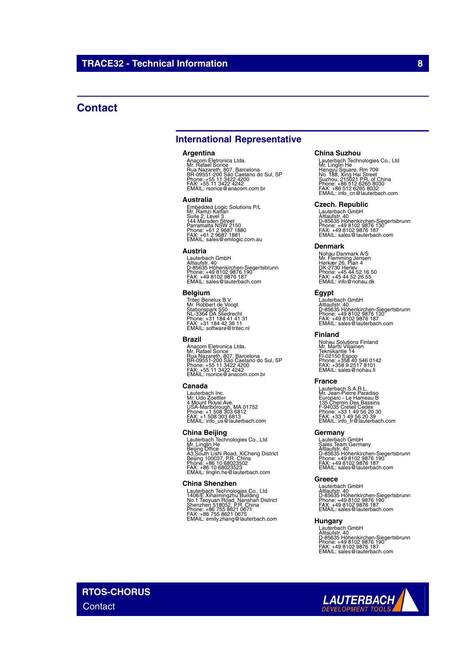## **Contact**

## **International Representative**

#### **Argentina**

Anacom Eletronica Ltda.<br>Mr. Rafael Sorice<br>Rua Nazareth, 807, Barcelona<br>BR-09551-200 São Caetano do Sul, SP<br>Phone: +55 11 3422 4242<br>FAX: +55 11 3422 4242<br>EMAIL: rsorice@anacom.com.br

#### **Australia**

Embedded Logic Solutions P/L<br>Mr. Ramzi Kattan<br>Suite 2, Level 3<br>Parramatta NSW 2150<br>Parramatta NSW 2150<br>Phone: +61 2 9687 1880<br>FMAIL: sales@emlogic.com.au

### **Austria**

Lauterbach GmbH<br>Altlaufstr. 40<br>D-85635 Höhenkirchen-Siegertsbrunn<br>Phone: +49 8102 9876 187<br>FAX: +49 8102 9876 187<br>EMAIL: sales@lauterbach.com

#### **Belgium**

Tritec Benelux B.V. Mr. Robbert de Voogt Stationspark 550 NL-3364 DA Sliedrecht Phone: +31 184 41 41 31 FAX: +31 184 42 36 11 EMAIL: software@tritec.nl

#### **Brazil**

Anacom Eletronica Ltda.<br>Mr. Rafael Sorice<br>Rua Nazareth, 807, Barcelona<br>BR-09551-200 São Caetano do Sul, SP<br>Phone: +55 11 3422 4242<br>FAX: +55 11 3422 4242<br>EMAIL: rsorice@anacom.com.br

#### **Canada**

Lauterbach Inc. Mr. Udo Zoettler 4 Mount Royal Ave. USA-Marlborough, MA 01752 Phone: +1 508 303 6812 FAX: +1 508 303 6813 EMAIL: info\_us@lauterbach.com

### **China Beijing**

Lauterbach Technologies Co., Ltd<br>Mr. Linglin He<br>Beijing Office<br>A3,South Lishi Road, XiCheng District<br>Beijing 100037, P.R. China<br>Phone: +86 10 68023523<br>FMAIL: linglin.he@lauterbach.com

### **China Shenzhen**

Lauterbach Technologies Co., Ltd<br>1406/E Xihaimingzhu Building<br>No.1 Taoyuan Road, Nanshan District<br>Shenzhen 518052, P.R. China<br>Phone: +86 755 8621 0675<br>FAX: +86 755 8621 0675<br>EMAIL: emily.zhang@lauterbach.com

#### **China Suzhou**

Lauterbach Technologies Co., Ltd<br>Mr. Linglin He<br>Hengyu Square, Rm 709<br>Suzhou, 215021 P.R. of China<br>Suzhou, 215021 P.R. of China<br>Phone: +86 512 6265 8030<br>FMAIL: info\_cn@lauterbach.com

## **Czech. Republic**

Lauterbach GmbH<br>Altlaufstr. 40<br>D-85635 Höhenkirchen-Siegertsbrunn<br>Phone: +49 8102 9876 187<br>FAX: +49 8102 9876 187<br>EMAIL: sales@lauterbach.com

#### **Denmark**

Nohau Danmark A/S<br>Mr. Flemming Jensen<br>Hørkær 26, Plan 4<br>DK-2730 Herlev<br>Phone: +45 44 52 16 50<br>FAX: +45 44 52 26 55<br>EMAIL: info@nohau.dk

### **Egypt**

Lauterbach GmbH<br>Altlaufstr. 40<br>D-85635 Höhenkirchen-Siegertsbrunn<br>Phone: +49 8102 9876 187<br>FAX: +49 8102 9876 187<br>EMAIL: sales@lauterbach.com

## **Finland**

Nohau Solutions Finland Mr. Martti Viljainen Tekniikantie 14 FI-02150 Espoo Phone: +358 40 546 0142 FAX: +358 9 2517 8101 EMAIL: sales@nohau.fi

### **France**

Lauterbach S.A.R.L.<br>Mr. Jean-Pierre Paradiso<br>Europarc - Le Hameau B<br>135 Chemin Des Bassins<br>F-94035 Créteil Cedex<br>Phone: +33 1 49 56 20 30<br>EMAIL: info\_fr@lauterbach.com<br>EMAIL: info\_fr@lauterbach.com

## **Germany**

Lauterbach GmbH<br>Sales Team Germany<br>Altlaufstr. 40<br>D-85635 Höhenkirchen-Siegertsbrunn<br>Phone: +49 8102 9876 187<br>FAX: +49 8102 9876 187<br>EMAIL: sales@lauterbach.com

### **Greece**

Lauterbach GmbH Altlaufstr. 40 D-85635 Höhenkirchen-Siegertsbrunn Phone: +49 8102 9876 190 FAX: +49 8102 9876 187 EMAIL: sales@lauterbach.com

## **Hungary**

Lauterbach GmbH<br>Altlaufstr. 40<br>D-85635 Höhenkirchen-Siegertsbrunn<br>Phone: +49 8102 9876 187<br>FAX: +49 8102 9876 187<br>EMAIL: sales@lauterbach.com

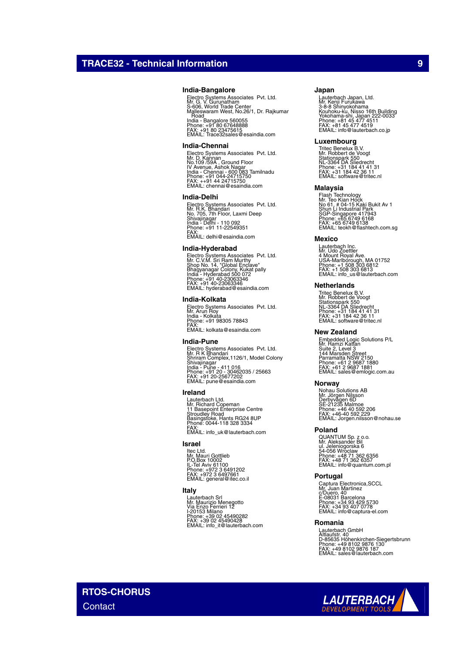### **India-Bangalore**

Electro Systems Associates Pvt. Ltd.<br>Mr. G. V. Gurunatham<br>Malleswaram West, No.26/1, Dr. Rajkumar<br>Malleswaram West, No.26/1, Dr. Rajkumar<br>. Road India - Bangalore 560055 Phone: +91 80 67648888 FAX: +91 80 23475615 EMAIL: Trace32sales@esaindia.com

#### **India-Chennai**

Electro Systems Associates Pvt. Ltd.<br>Mr. D. Kannan<br>IV Avenue, Ashok Nagar<br>India - Chennai - 600 083 Tamilnadu<br>India - Chennai - 600 083 Tamilnadu<br>Phone: +91 044-24715750<br>EMAIL: chennai@esaindia.com

#### **India-Delhi**

Electro Systems Associates Pvt. Ltd.<br>Mr. R.K. Bhandari<br>Shivajinagar<br>Shivajinagar<br>India - Delhi - 110 092<br>Phone: +91 11-22549351<br>FMAIL: delhi@esaindia.com

#### **India-Hyderabad**

Electro Systems Associates Pvt. Ltd.<br>Mr. C.V.M. Sri Ram Murthy<br>Shop No. 14, "Global Enclave"<br>India - Hyderabad 500 072<br>India - Hyderabad 500 072<br>Phone: +91 40-23063346<br>EMAIL: hyderabad@esaindia.com

### **India-Kolkata**

Electro Systems Associates Pvt. Ltd. Mr. Arun Roy India - Kolkata Phone: +91 98305 78843 FAX: EMAIL: kolkata@esaindia.com

#### **India-Pune**

Electro Systems Associates Pvt. Ltd.<br>Mr. R K Bhandari<br>Shrivajinagar<br>Shivajinagar<br>India - Pune - 411 016<br>Phone: +91 20 - 30462035 / 25663<br>FAX: +91 20 -25677202<br>EMAIL: pune@esaindia.com

## **Ireland**

Lauterbach Ltd. Mr. Richard Copeman 11 Basepoint Enterprise Centre Stroudley Road Basingstoke, Hants RG24 8UP Phone: 0044-118 328 3334 FAX: EMAIL: info\_uk@lauterbach.com

#### **Israel**

ltec Ltd.<br>Mr. Mauri Gottlieb<br>P.O.Box 10002<br>IL-Tel Aviv 61100<br>Phone: +972 3 6497661<br>FMAIL: general@itec.co.il

## **Italy**

Lauterbach Srl Mr. Maurizio Menegotto Via Enzo Ferrieri 12 I-20153 Milano Phone: +39 02 45490282 FAX: +39 02 45490428 EMAIL: info\_it@lauterbach.com

#### **Japan**

Lauterbach Japan, Ltd.<br>3-8-8 Shinyokohama<br>X-8-8 Shinyokohama<br>Yokohama-shi, Japan 222-0033<br>Yokohama-shi, Japan 222-0033<br>Phone: +81 45 477 4519<br>EMAIL: info@lauterbach.co.jp

#### **Luxembourg**

Tritec Benelux B.V. Mr. Robbert de Voogt Stationspark 550 NL-3364 DA Sliedrecht Phone: +31 184 41 41 31 FAX: +31 184 42 36 11 EMAIL: software@tritec.nl

### **Malaysia**

Flash Technology<br>Mr. Teo Kian Hock<br>No 61, # 04-15 Kaki Bukit Av 1<br>Shun Li Industrial Park<br>SGP-Singapore 417943<br>Phone: +65 6749 6138<br>PMAIL: teokh@flashtech.com.sg<br>EMAIL: teokh@flashtech.com.sg

### **Mexico**

Lauterbach Inc. Mr. Udo Zoettler 4 Mount Royal Ave. USA-Marlborough, MA 01752 Phone: +1 508 303 6812 FAX: +1 508 303 6813 EMAIL: info\_us@lauterbach.com

### **Netherlands**

Tritec Benelux B.V. Mr. Robbert de Voogt Stationspark 550 NL-3364 DA Sliedrecht Phone: +31 184 41 41 31 FAX: +31 184 42 36 11 EMAIL: software@tritec.nl

#### **New Zealand**

Embedded Logic Solutions P/L<br>Mr. Ramzi Kattan<br>Suite 2, Level 3<br>Parramatta NSW 2150<br>Parramatta NSW 2150<br>Phone: +61 2 9687 1880<br>Phone: +61 2 9687 1881<br>EMAIL: sales@emlogic.com.au

#### **Norway**

Nohau Solutions AB<br>Mr. Jörgen Nilsson<br>Derbyvägen 6D<br>SE-21235 Malmoe<br>Phone: +46 40 592 2206<br>FAX: +46-40 592 229<br>EMAIL: Jorgen.nilsson@nohau.se

#### **Poland**

QUANTUM Sp. z o.o.<br>Mr. Aleksander Bil<br>ul. Jeleniogorska 6<br>54-056 Wroclaw<br>Phone: +48 71 362 6357<br>FAX: +48 71 362 6357<br>EMAIL: info@quantum.com.pl

#### **Portugal**

Captura Electronica,SCCL<br>Mr. Juan Martinez<br>c/Duero, 40<br>E-08031 Barcelona<br>Phone: +34 93 407 0778<br>FAX: +34 93 407 0778<br>EMAIL: info@captura-el.com

#### **Romania**

Lauterbach GmbH<br>Altlaufstr. 40<br>D-85635 Höhenkirchen-Siegertsbrunn<br>Phone: +49 8102 9876 187<br>FAX: +49 8102 9876 187<br>EMAIL: sales@lauterbach.com

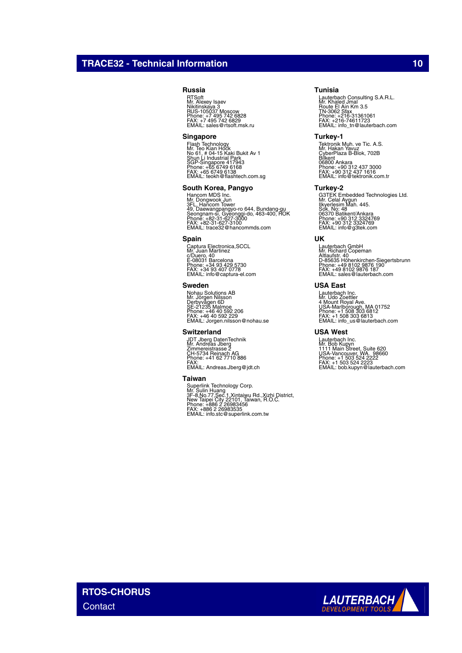## **TRACE32 - Technical Information 100 and 100 and 100 and 100 and 100 and 100 and 100 and 100 and 100 and 100 and 100 and 100 and 100 and 100 and 100 and 100 and 100 and 100 and 100 and 100 and 100 and 100 and 100 and 100 a**

## **Russia**

RTSoft Mr. Alexey Isaev Nikitinskaya 3 RUS-105037 Moscow Phone: +7 495 742 6828 FAX: +7 495 742 6829 EMAIL: sales@rtsoft.msk.ru

### **Singapore**

Flash Technology<br>Mr. Teo Kian Hock<br>No 61, # 04-15 Kaki Bukit Av 1<br>Shun Li Industrial Park<br>SGP-Singapore 417943<br>Phone: +65 6749 6138<br>FMAIL: teokh@flashtech.com.sg<br>EMAIL: teokh@flashtech.com.sg

## **South Korea, Pangyo**

Hancom MDS Inc.<br>Mr. Dongwook Jun<br>3FL. Hancom Tower<br>Seongnam-si, Gyeonggi-do, 463-400, ROK<br>Seongnam-si, Gyeonggi-do, 463-400, ROK<br>Phone: +82-31-627-3100<br>EMAIL: trace32@hancommds.com

#### **Spain**

Captura Electronica,SCCL Mr. Juan Martinez c/Duero, 40 E-08031 Barcelona Phone: +34 93 429 5730 FAX: +34 93 407 0778 EMAIL: info@captura-el.com

### **Sweden**

Nohau Solutions AB<br>Mr. Jörgen Nilsson<br>Derbyvägen 6D<br>SE-21235 Malmoe<br>Phone: +46 40 592 2206<br>FAX: +46 40 592 229<br>EMAIL: Jorgen.nilsson@nohau.se

#### **Switzerland**

JDT Jberg DatenTechnik Mr. Andreas Jberg Zimmereistrasse 2 CH-5734 Reinach AG Phone: +41 62 7710 886 FAX: EMAIL: Andreas.Jberg@jdt.ch

### **Taiwan**

Superlink Technology Corp.<br>Mr. Sulin Huang<br>3F-8,No.77,Sec.1,Xintaiwu Rd.,Xizhi District,<br>New Taipei City 22101, Taiwan, R.O.C.<br>Phone: +886 2 26983535<br>FAX: +886 2 26983535<br>EMAIL: info.stc@superlink.com.tw

### **Tunisia**

Lauterbach Consulting S.A.R.L.<br>Mr. Khaled Jmal<br>Route El Ain Km 3.5<br>TN-3062 Sfax<br>Phone: +216-31361061<br>FMX: -216-74611723<br>EMAIL: info\_tn@lauterbach.com

#### **Turkey-1**

Tektronik Muh. ve Tic. A.S.<br>Mr. Hakan Yavuz<br>Bilkent<br>CyberPlaza B-Blok, 702B<br>06800 Ankara<br>Phone: +90 312 437 3000<br>Phone: +90 312 437 1616<br>EMAIL: info@tektronik.com.tr

## **Turkey-2**

G3TEK Embedded Technologies Ltd. Mr. Celal Aygun Ilkyerlesim Mah. 445. Sok. No: 48 06370 Batikent/Ankara Phone: +90 312 3324769 FAX: +90 312 3324769 EMAIL: info@g3tek.com

### **UK**

Lauterbach GmbH Mr. Richard Copeman Altlaufstr. 40 D-85635 Höhenkirchen-Siegertsbrunn Phone: +49 8102 9876 190 FAX: +49 8102 9876 187 EMAIL: sales@lauterbach.com

## **USA East**

Lauterbach Inc. Mr. Udo Zoettler 4 Mount Royal Ave. USA-Marlborough, MA 01752 Phone: +1 508 303 6812 FAX: +1 508 303 6813 EMAIL: info\_us@lauterbach.com

### **USA West**

Lauterbach Inc.<br>Mr. Bob Kupyn<br>1111 Main Street, Suite 620<br>USA-Vancouver, WA. 98660<br>Phone: +1 503 524 2222<br>FAX: +1 503 524 2223<br>EMAIL: bob.kupyn@lauterbach.com

**RTOS-CHORUS Contact** 

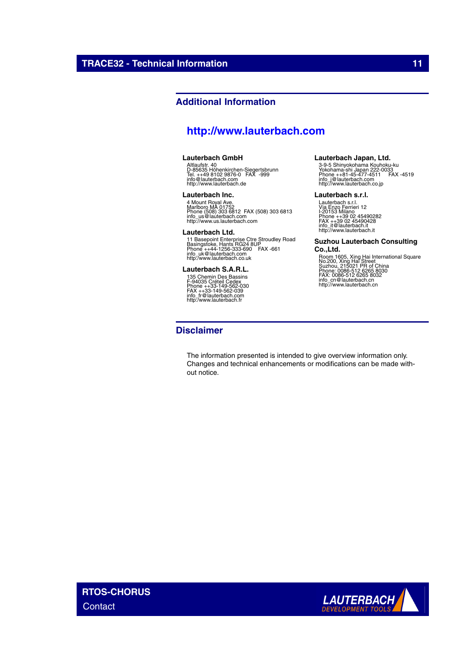## **Additional Information**

## **<http://www.lauterbach.com>**

## **Lauterbach GmbH**

Altlaufstr. 40 D-85635 Höhenkirchen-Siegertsbrunn Tel. ++49 8102 9876-0 FAX -999 info@lauterbach.com http://www.lauterbach.de

### **Lauterbach Inc.**

4 Mount Royal Ave.<br>Marlboro MA 01752<br>Phone (508) 303 6812 FAX (508) 303 6813<br>intp://www.us.lauterbach.com<br>http://www.us.lauterbach.com

### **Lauterbach Ltd.**

11 Basepoint Enterprise Ctre Stroudley Road<br>Basingstoke, Hants RG24 8UP<br>Phone ++44-1256-333-690 FAX -661<br>info\_uk@lauterbach.co.uk<br>http:/www.lauterbach.co.uk

## **Lauterbach S.A.R.L.**

135 Chemin Des Bassins F-94035 Créteil Cedex Phone ++33-149-562-030 FAX ++33-149-562-039 info\_fr@lauterbach.com http:/www.lauterbach.fr

## **Disclaimer**

## The information presented is intended to give overview information only. Changes and technical enhancements or modifications can be made without notice.

**Lauterbach Japan, Ltd.**

3-9-5 Shinyokohama Kouhoku-ku Yokohama-shi Japan 222-0033 Phone ++81-45-477-4511 FAX -4519 info\_j@lauterbach.com http://www.lauterbach.co.jp

#### **Lauterbach s.r.l.**

Lauterbach s.r.l. Via Enzo Ferrieri 12 I-20153 Milano Phone ++39 02 45490282 FAX ++39 02 45490428 info\_it@lauterbach.it http://www.lauterbach.it

## **Suzhou Lauterbach Consulting**

**Co.,Ltd.** Room 1605, Xing Hai International Square No.200, Xing Hai Street Suzhou, 215021 PR of China Phone: 0086-512 6265 8030 FAX: 0086-512 6265 8032 info\_cn@lauterbach.cn http://www.lauterbach.cn

**RTOS-CHORUS Contact**